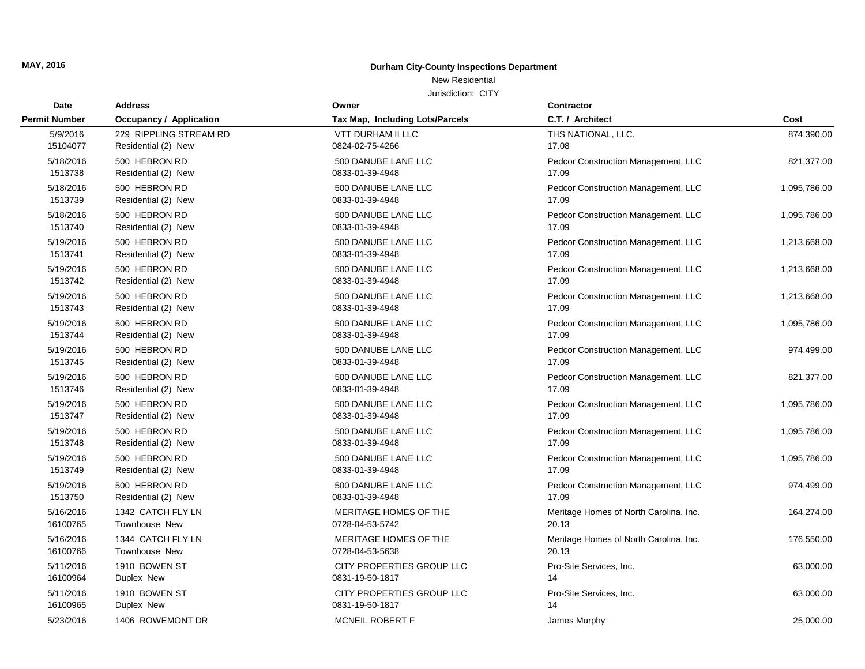### New Residential

| Date                 | <b>Address</b>                 | Owner                           | Contractor                             |              |
|----------------------|--------------------------------|---------------------------------|----------------------------------------|--------------|
| <b>Permit Number</b> | <b>Occupancy / Application</b> | Tax Map, Including Lots/Parcels | C.T. / Architect                       | Cost         |
| 5/9/2016             | 229 RIPPLING STREAM RD         | <b>VTT DURHAM II LLC</b>        | THS NATIONAL, LLC.                     | 874,390.00   |
| 15104077             | Residential (2) New            | 0824-02-75-4266                 | 17.08                                  |              |
| 5/18/2016            | 500 HEBRON RD                  | 500 DANUBE LANE LLC             | Pedcor Construction Management, LLC    | 821,377.00   |
| 1513738              | Residential (2) New            | 0833-01-39-4948                 | 17.09                                  |              |
| 5/18/2016            | 500 HEBRON RD                  | 500 DANUBE LANE LLC             | Pedcor Construction Management, LLC    | 1,095,786.00 |
| 1513739              | Residential (2) New            | 0833-01-39-4948                 | 17.09                                  |              |
| 5/18/2016            | 500 HEBRON RD                  | 500 DANUBE LANE LLC             | Pedcor Construction Management, LLC    | 1,095,786.00 |
| 1513740              | Residential (2) New            | 0833-01-39-4948                 | 17.09                                  |              |
| 5/19/2016            | 500 HEBRON RD                  | 500 DANUBE LANE LLC             | Pedcor Construction Management, LLC    | 1,213,668.00 |
| 1513741              | Residential (2) New            | 0833-01-39-4948                 | 17.09                                  |              |
| 5/19/2016            | 500 HEBRON RD                  | 500 DANUBE LANE LLC             | Pedcor Construction Management, LLC    | 1,213,668.00 |
| 1513742              | Residential (2) New            | 0833-01-39-4948                 | 17.09                                  |              |
| 5/19/2016            | 500 HEBRON RD                  | 500 DANUBE LANE LLC             | Pedcor Construction Management, LLC    | 1,213,668.00 |
| 1513743              | Residential (2) New            | 0833-01-39-4948                 | 17.09                                  |              |
| 5/19/2016            | 500 HEBRON RD                  | 500 DANUBE LANE LLC             | Pedcor Construction Management, LLC    | 1,095,786.00 |
| 1513744              | Residential (2) New            | 0833-01-39-4948                 | 17.09                                  |              |
| 5/19/2016            | 500 HEBRON RD                  | 500 DANUBE LANE LLC             | Pedcor Construction Management, LLC    | 974,499.00   |
| 1513745              | Residential (2) New            | 0833-01-39-4948                 | 17.09                                  |              |
| 5/19/2016            | 500 HEBRON RD                  | 500 DANUBE LANE LLC             | Pedcor Construction Management, LLC    | 821,377.00   |
| 1513746              | Residential (2) New            | 0833-01-39-4948                 | 17.09                                  |              |
| 5/19/2016            | 500 HEBRON RD                  | 500 DANUBE LANE LLC             | Pedcor Construction Management, LLC    | 1,095,786.00 |
| 1513747              | Residential (2) New            | 0833-01-39-4948                 | 17.09                                  |              |
| 5/19/2016            | 500 HEBRON RD                  | 500 DANUBE LANE LLC             | Pedcor Construction Management, LLC    | 1,095,786.00 |
| 1513748              | Residential (2) New            | 0833-01-39-4948                 | 17.09                                  |              |
| 5/19/2016            | 500 HEBRON RD                  | 500 DANUBE LANE LLC             | Pedcor Construction Management, LLC    | 1,095,786.00 |
| 1513749              | Residential (2) New            | 0833-01-39-4948                 | 17.09                                  |              |
| 5/19/2016            | 500 HEBRON RD                  | 500 DANUBE LANE LLC             | Pedcor Construction Management, LLC    | 974,499.00   |
| 1513750              | Residential (2) New            | 0833-01-39-4948                 | 17.09                                  |              |
| 5/16/2016            | 1342 CATCH FLY LN              | MERITAGE HOMES OF THE           | Meritage Homes of North Carolina, Inc. | 164,274.00   |
| 16100765             | Townhouse New                  | 0728-04-53-5742                 | 20.13                                  |              |
| 5/16/2016            | 1344 CATCH FLY LN              | MERITAGE HOMES OF THE           | Meritage Homes of North Carolina, Inc. | 176,550.00   |
| 16100766             | <b>Townhouse New</b>           | 0728-04-53-5638                 | 20.13                                  |              |
| 5/11/2016            | 1910 BOWEN ST                  | CITY PROPERTIES GROUP LLC       | Pro-Site Services, Inc.                | 63,000.00    |
| 16100964             | Duplex New                     | 0831-19-50-1817                 | 14                                     |              |
| 5/11/2016            | 1910 BOWEN ST                  | CITY PROPERTIES GROUP LLC       | Pro-Site Services, Inc.                | 63,000.00    |
| 16100965             | Duplex New                     | 0831-19-50-1817                 | 14                                     |              |
| 5/23/2016            | 1406 ROWEMONT DR               | MCNEIL ROBERT F                 | James Murphy                           | 25,000.00    |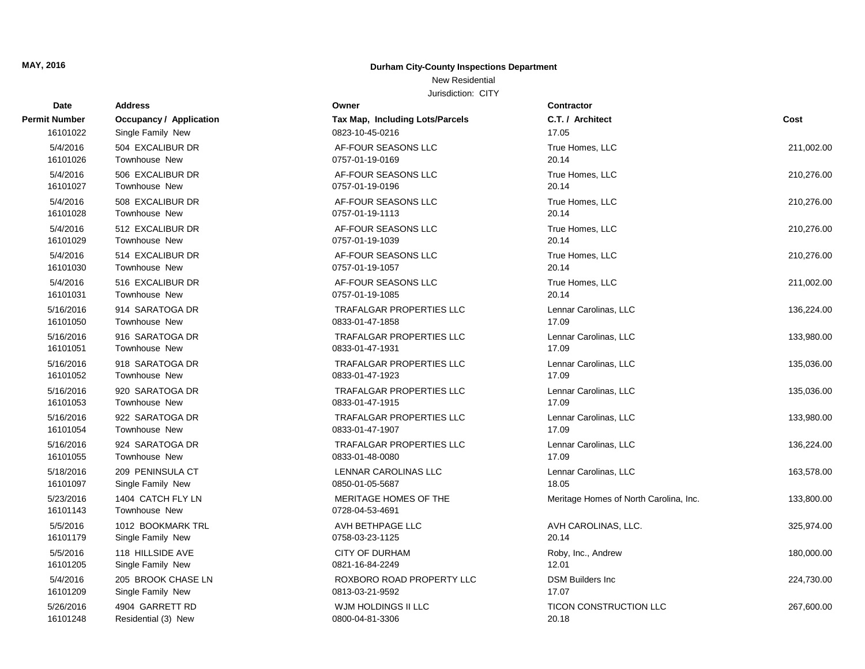### New Residential

| <b>Date</b>           | <b>Address</b>                            | Owner                                    | Contractor                             |            |
|-----------------------|-------------------------------------------|------------------------------------------|----------------------------------------|------------|
| Permit Number         | <b>Occupancy / Application</b>            | Tax Map, Including Lots/Parcels          | C.T. / Architect                       | Cost       |
| 16101022              | Single Family New                         | 0823-10-45-0216                          | 17.05                                  |            |
| 5/4/2016              | 504 EXCALIBUR DR                          | AF-FOUR SEASONS LLC                      | True Homes, LLC                        | 211,002.00 |
| 16101026              | <b>Townhouse New</b>                      | 0757-01-19-0169                          | 20.14                                  |            |
| 5/4/2016              | 506 EXCALIBUR DR                          | AF-FOUR SEASONS LLC                      | True Homes, LLC                        | 210,276.00 |
| 16101027              | <b>Townhouse New</b>                      | 0757-01-19-0196                          | 20.14                                  |            |
| 5/4/2016              | 508 EXCALIBUR DR                          | AF-FOUR SEASONS LLC                      | True Homes, LLC                        | 210,276.00 |
| 16101028              | <b>Townhouse New</b>                      | 0757-01-19-1113                          | 20.14                                  |            |
| 5/4/2016              | 512 EXCALIBUR DR                          | AF-FOUR SEASONS LLC                      | True Homes, LLC                        | 210,276.00 |
| 16101029              | <b>Townhouse New</b>                      | 0757-01-19-1039                          | 20.14                                  |            |
| 5/4/2016              | 514 EXCALIBUR DR                          | AF-FOUR SEASONS LLC                      | True Homes, LLC                        | 210,276.00 |
| 16101030              | Townhouse New                             | 0757-01-19-1057                          | 20.14                                  |            |
| 5/4/2016              | 516 EXCALIBUR DR                          | AF-FOUR SEASONS LLC                      | True Homes, LLC                        | 211,002.00 |
| 16101031              | <b>Townhouse New</b>                      | 0757-01-19-1085                          | 20.14                                  |            |
| 5/16/2016             | 914 SARATOGA DR                           | <b>TRAFALGAR PROPERTIES LLC</b>          | Lennar Carolinas, LLC                  | 136,224.00 |
| 16101050              | <b>Townhouse New</b>                      | 0833-01-47-1858                          | 17.09                                  |            |
| 5/16/2016             | 916 SARATOGA DR                           | <b>TRAFALGAR PROPERTIES LLC</b>          | Lennar Carolinas, LLC                  | 133,980.00 |
| 16101051              | <b>Townhouse New</b>                      | 0833-01-47-1931                          | 17.09                                  |            |
| 5/16/2016             | 918 SARATOGA DR                           | <b>TRAFALGAR PROPERTIES LLC</b>          | Lennar Carolinas, LLC                  | 135,036.00 |
| 16101052              | <b>Townhouse New</b>                      | 0833-01-47-1923                          | 17.09                                  |            |
| 5/16/2016             | 920 SARATOGA DR                           | <b>TRAFALGAR PROPERTIES LLC</b>          | Lennar Carolinas, LLC                  | 135,036.00 |
| 16101053              | <b>Townhouse New</b>                      | 0833-01-47-1915                          | 17.09                                  |            |
| 5/16/2016             | 922 SARATOGA DR                           | TRAFALGAR PROPERTIES LLC                 | Lennar Carolinas, LLC                  | 133,980.00 |
| 16101054              | <b>Townhouse New</b>                      | 0833-01-47-1907                          | 17.09                                  |            |
| 5/16/2016             | 924 SARATOGA DR                           | TRAFALGAR PROPERTIES LLC                 | Lennar Carolinas, LLC                  | 136,224.00 |
| 16101055              | <b>Townhouse New</b>                      | 0833-01-48-0080                          | 17.09                                  |            |
| 5/18/2016             | 209 PENINSULA CT                          | LENNAR CAROLINAS LLC                     | Lennar Carolinas, LLC                  | 163,578.00 |
| 16101097              | Single Family New                         | 0850-01-05-5687                          | 18.05                                  |            |
| 5/23/2016<br>16101143 | 1404 CATCH FLY LN<br><b>Townhouse New</b> | MERITAGE HOMES OF THE<br>0728-04-53-4691 | Meritage Homes of North Carolina, Inc. | 133,800.00 |
| 5/5/2016              | 1012 BOOKMARK TRL                         | AVH BETHPAGE LLC                         | AVH CAROLINAS, LLC.                    | 325,974.00 |
| 16101179              | Single Family New                         | 0758-03-23-1125                          | 20.14                                  |            |
| 5/5/2016              | 118 HILLSIDE AVE                          | <b>CITY OF DURHAM</b>                    | Roby, Inc., Andrew                     | 180,000.00 |
| 16101205              | Single Family New                         | 0821-16-84-2249                          | 12.01                                  |            |
| 5/4/2016              | 205 BROOK CHASE LN                        | ROXBORO ROAD PROPERTY LLC                | <b>DSM Builders Inc.</b>               | 224,730.00 |
| 16101209              | Single Family New                         | 0813-03-21-9592                          | 17.07                                  |            |
| 5/26/2016             | 4904 GARRETT RD                           | WJM HOLDINGS II LLC                      | TICON CONSTRUCTION LLC                 | 267,600.00 |
| 16101248              | Residential (3) New                       | 0800-04-81-3306                          | 20.18                                  |            |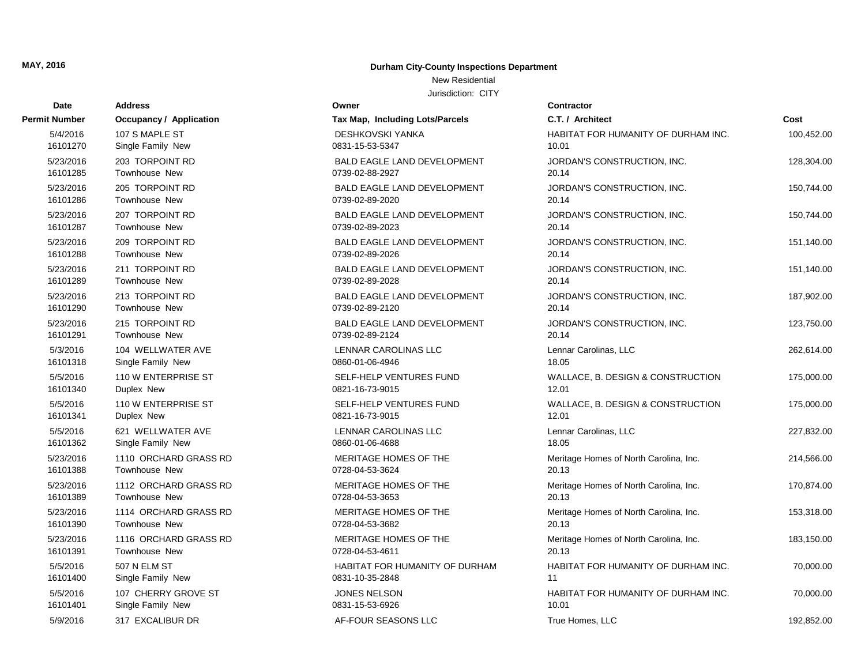### New Residential

| Date          | <b>Address</b>                 | Owner                              | Contractor                             |            |
|---------------|--------------------------------|------------------------------------|----------------------------------------|------------|
| Permit Number | <b>Occupancy / Application</b> | Tax Map, Including Lots/Parcels    | C.T. / Architect                       | Cost       |
| 5/4/2016      | 107 S MAPLE ST                 | <b>DESHKOVSKI YANKA</b>            | HABITAT FOR HUMANITY OF DURHAM INC.    | 100,452.00 |
| 16101270      | Single Family New              | 0831-15-53-5347                    | 10.01                                  |            |
| 5/23/2016     | 203 TORPOINT RD                | <b>BALD EAGLE LAND DEVELOPMENT</b> | JORDAN'S CONSTRUCTION, INC.            | 128,304.00 |
| 16101285      | Townhouse New                  | 0739-02-88-2927                    | 20.14                                  |            |
| 5/23/2016     | 205 TORPOINT RD                | <b>BALD EAGLE LAND DEVELOPMENT</b> | JORDAN'S CONSTRUCTION, INC.            | 150,744.00 |
| 16101286      | Townhouse New                  | 0739-02-89-2020                    | 20.14                                  |            |
| 5/23/2016     | 207 TORPOINT RD                | BALD EAGLE LAND DEVELOPMENT        | JORDAN'S CONSTRUCTION, INC.            | 150,744.00 |
| 16101287      | Townhouse New                  | 0739-02-89-2023                    | 20.14                                  |            |
| 5/23/2016     | 209 TORPOINT RD                | BALD EAGLE LAND DEVELOPMENT        | JORDAN'S CONSTRUCTION, INC.            | 151,140.00 |
| 16101288      | <b>Townhouse New</b>           | 0739-02-89-2026                    | 20.14                                  |            |
| 5/23/2016     | 211 TORPOINT RD                | BALD EAGLE LAND DEVELOPMENT        | JORDAN'S CONSTRUCTION, INC.            | 151,140.00 |
| 16101289      | Townhouse New                  | 0739-02-89-2028                    | 20.14                                  |            |
| 5/23/2016     | 213 TORPOINT RD                | <b>BALD EAGLE LAND DEVELOPMENT</b> | JORDAN'S CONSTRUCTION, INC.            | 187,902.00 |
| 16101290      | Townhouse New                  | 0739-02-89-2120                    | 20.14                                  |            |
| 5/23/2016     | 215 TORPOINT RD                | <b>BALD EAGLE LAND DEVELOPMENT</b> | JORDAN'S CONSTRUCTION, INC.            | 123,750.00 |
| 16101291      | <b>Townhouse New</b>           | 0739-02-89-2124                    | 20.14                                  |            |
| 5/3/2016      | 104 WELLWATER AVE              | LENNAR CAROLINAS LLC               | Lennar Carolinas, LLC                  | 262,614.00 |
| 16101318      | Single Family New              | 0860-01-06-4946                    | 18.05                                  |            |
| 5/5/2016      | 110 W ENTERPRISE ST            | SELF-HELP VENTURES FUND            | WALLACE, B. DESIGN & CONSTRUCTION      | 175,000.00 |
| 16101340      | Duplex New                     | 0821-16-73-9015                    | 12.01                                  |            |
| 5/5/2016      | 110 W ENTERPRISE ST            | SELF-HELP VENTURES FUND            | WALLACE, B. DESIGN & CONSTRUCTION      | 175,000.00 |
| 16101341      | Duplex New                     | 0821-16-73-9015                    | 12.01                                  |            |
| 5/5/2016      | 621 WELLWATER AVE              | LENNAR CAROLINAS LLC               | Lennar Carolinas, LLC                  | 227,832.00 |
| 16101362      | Single Family New              | 0860-01-06-4688                    | 18.05                                  |            |
| 5/23/2016     | 1110 ORCHARD GRASS RD          | MERITAGE HOMES OF THE              | Meritage Homes of North Carolina, Inc. | 214,566.00 |
| 16101388      | Townhouse New                  | 0728-04-53-3624                    | 20.13                                  |            |
| 5/23/2016     | 1112 ORCHARD GRASS RD          | MERITAGE HOMES OF THE              | Meritage Homes of North Carolina, Inc. | 170,874.00 |
| 16101389      | Townhouse New                  | 0728-04-53-3653                    | 20.13                                  |            |
| 5/23/2016     | 1114 ORCHARD GRASS RD          | MERITAGE HOMES OF THE              | Meritage Homes of North Carolina, Inc. | 153,318.00 |
| 16101390      | Townhouse New                  | 0728-04-53-3682                    | 20.13                                  |            |
| 5/23/2016     | 1116 ORCHARD GRASS RD          | MERITAGE HOMES OF THE              | Meritage Homes of North Carolina, Inc. | 183,150.00 |
| 16101391      | Townhouse New                  | 0728-04-53-4611                    | 20.13                                  |            |
| 5/5/2016      | 507 N ELM ST                   | HABITAT FOR HUMANITY OF DURHAM     | HABITAT FOR HUMANITY OF DURHAM INC.    | 70,000.00  |
| 16101400      | Single Family New              | 0831-10-35-2848                    | 11                                     |            |
| 5/5/2016      | 107 CHERRY GROVE ST            | <b>JONES NELSON</b>                | HABITAT FOR HUMANITY OF DURHAM INC.    | 70,000.00  |
| 16101401      | Single Family New              | 0831-15-53-6926                    | 10.01                                  |            |
| 5/9/2016      | 317 EXCALIBUR DR               | AF-FOUR SEASONS LLC                | True Homes, LLC                        | 192,852.00 |

| C.T. / Architect                                | Cost       |
|-------------------------------------------------|------------|
| HABITAT FOR HUMANITY OF DURHAM INC.<br>0.01     | 100,452.00 |
| IORDAN'S CONSTRUCTION, INC.<br>20.14            | 128,304.00 |
| IORDAN'S CONSTRUCTION, INC.<br>20.14            | 150,744.00 |
| IORDAN'S CONSTRUCTION, INC.<br>20.14            | 150,744.00 |
| IORDAN'S CONSTRUCTION, INC.<br>20.14            | 151,140.00 |
| IORDAN'S CONSTRUCTION, INC.<br>20.14            | 151,140.00 |
| IORDAN'S CONSTRUCTION, INC.<br>20.14            | 187,902.00 |
| IORDAN'S CONSTRUCTION, INC.<br>20.14            | 123,750.00 |
| ennar Carolinas, LLC.<br>8.05                   | 262,614.00 |
| VALLACE, B. DESIGN & CONSTRUCTION<br>2.01       | 175,000.00 |
| VALLACE, B. DESIGN & CONSTRUCTION<br>2.01       | 175,000.00 |
| ennar Carolinas, LLC.<br>8.05                   | 227,832.00 |
| Meritage Homes of North Carolina, Inc.<br>20.13 | 214,566.00 |
| Meritage Homes of North Carolina, Inc.<br>20.13 | 170,874.00 |
| Meritage Homes of North Carolina, Inc.<br>20.13 | 153,318.00 |
| Meritage Homes of North Carolina, Inc.<br>20.13 | 183,150.00 |
| HABITAT FOR HUMANITY OF DURHAM INC.<br>11       | 70,000.00  |
| HABITAT FOR HUMANITY OF DURHAM INC.<br>0.01     | 70,000.00  |
| $Time$ Hamas $HP$                               | 102.050.00 |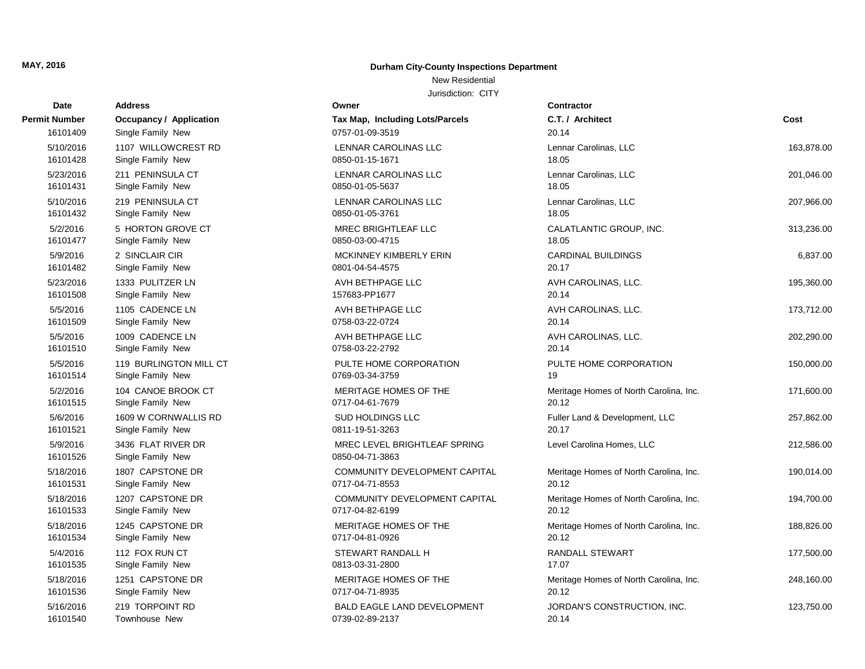### New Residential

| <b>Date</b>          | <b>Address</b>                          | Owner                                           | <b>Contractor</b>                      |            |
|----------------------|-----------------------------------------|-------------------------------------------------|----------------------------------------|------------|
| Permit Number        | <b>Occupancy / Application</b>          | Tax Map, Including Lots/Parcels                 | C.T. / Architect                       | Cost       |
| 16101409             | Single Family New                       | 0757-01-09-3519                                 | 20.14                                  |            |
| 5/10/2016            | 1107 WILLOWCREST RD                     | <b>LENNAR CAROLINAS LLC</b>                     | Lennar Carolinas, LLC                  | 163,878.00 |
| 16101428             | Single Family New                       | 0850-01-15-1671                                 | 18.05                                  |            |
| 5/23/2016            | 211 PENINSULA CT                        | <b>LENNAR CAROLINAS LLC</b>                     | Lennar Carolinas, LLC                  | 201,046.00 |
| 16101431             | Single Family New                       | 0850-01-05-5637                                 | 18.05                                  |            |
| 5/10/2016            | 219 PENINSULA CT                        | <b>LENNAR CAROLINAS LLC</b>                     | Lennar Carolinas, LLC                  | 207,966.00 |
| 16101432             | Single Family New                       | 0850-01-05-3761                                 | 18.05                                  |            |
| 5/2/2016             | 5 HORTON GROVE CT                       | <b>MREC BRIGHTLEAF LLC</b>                      | CALATLANTIC GROUP, INC.                | 313,236.00 |
| 16101477             | Single Family New                       | 0850-03-00-4715                                 | 18.05                                  |            |
| 5/9/2016             | 2 SINCLAIR CIR                          | <b>MCKINNEY KIMBERLY ERIN</b>                   | <b>CARDINAL BUILDINGS</b>              | 6,837.00   |
| 16101482             | Single Family New                       | 0801-04-54-4575                                 | 20.17                                  |            |
| 5/23/2016            | 1333 PULITZER LN                        | AVH BETHPAGE LLC                                | AVH CAROLINAS, LLC.                    | 195,360.00 |
| 16101508             | Single Family New                       | 157683-PP1677                                   | 20.14                                  |            |
| 5/5/2016             | 1105 CADENCE LN                         | AVH BETHPAGE LLC                                | AVH CAROLINAS, LLC.                    | 173,712.00 |
| 16101509             | Single Family New                       | 0758-03-22-0724                                 | 20.14                                  |            |
| 5/5/2016             | 1009 CADENCE LN                         | AVH BETHPAGE LLC                                | AVH CAROLINAS, LLC.                    | 202,290.00 |
| 16101510             | Single Family New                       | 0758-03-22-2792                                 | 20.14                                  |            |
| 5/5/2016             | 119 BURLINGTON MILL CT                  | PULTE HOME CORPORATION                          | PULTE HOME CORPORATION                 | 150,000.00 |
| 16101514             | Single Family New                       | 0769-03-34-3759                                 | 19                                     |            |
| 5/2/2016             | 104 CANOE BROOK CT                      | MERITAGE HOMES OF THE                           | Meritage Homes of North Carolina, Inc. | 171,600.00 |
| 16101515             | Single Family New                       | 0717-04-61-7679                                 | 20.12                                  |            |
| 5/6/2016             | 1609 W CORNWALLIS RD                    | <b>SUD HOLDINGS LLC</b>                         | Fuller Land & Development, LLC         | 257,862.00 |
| 16101521             | Single Family New                       | 0811-19-51-3263                                 | 20.17                                  |            |
| 5/9/2016<br>16101526 | 3436 FLAT RIVER DR<br>Single Family New | MREC LEVEL BRIGHTLEAF SPRING<br>0850-04-71-3863 | Level Carolina Homes, LLC              | 212,586.00 |
| 5/18/2016            | 1807 CAPSTONE DR                        | COMMUNITY DEVELOPMENT CAPITAL                   | Meritage Homes of North Carolina, Inc. | 190,014.00 |
| 16101531             | Single Family New                       | 0717-04-71-8553                                 | 20.12                                  |            |
| 5/18/2016            | 1207 CAPSTONE DR                        | COMMUNITY DEVELOPMENT CAPITAL                   | Meritage Homes of North Carolina, Inc. | 194,700.00 |
| 16101533             | Single Family New                       | 0717-04-82-6199                                 | 20.12                                  |            |
| 5/18/2016            | 1245 CAPSTONE DR                        | MERITAGE HOMES OF THE                           | Meritage Homes of North Carolina, Inc. | 188,826.00 |
| 16101534             | Single Family New                       | 0717-04-81-0926                                 | 20.12                                  |            |
| 5/4/2016             | 112 FOX RUN CT                          | STEWART RANDALL H                               | <b>RANDALL STEWART</b>                 | 177,500.00 |
| 16101535             | Single Family New                       | 0813-03-31-2800                                 | 17.07                                  |            |
| 5/18/2016            | 1251 CAPSTONE DR                        | MERITAGE HOMES OF THE                           | Meritage Homes of North Carolina, Inc. | 248,160.00 |
| 16101536             | Single Family New                       | 0717-04-71-8935                                 | 20.12                                  |            |
| 5/16/2016            | 219 TORPOINT RD                         | <b>BALD EAGLE LAND DEVELOPMENT</b>              | JORDAN'S CONSTRUCTION, INC.            | 123,750.00 |
| 16101540             | <b>Townhouse New</b>                    | 0739-02-89-2137                                 | 20.14                                  |            |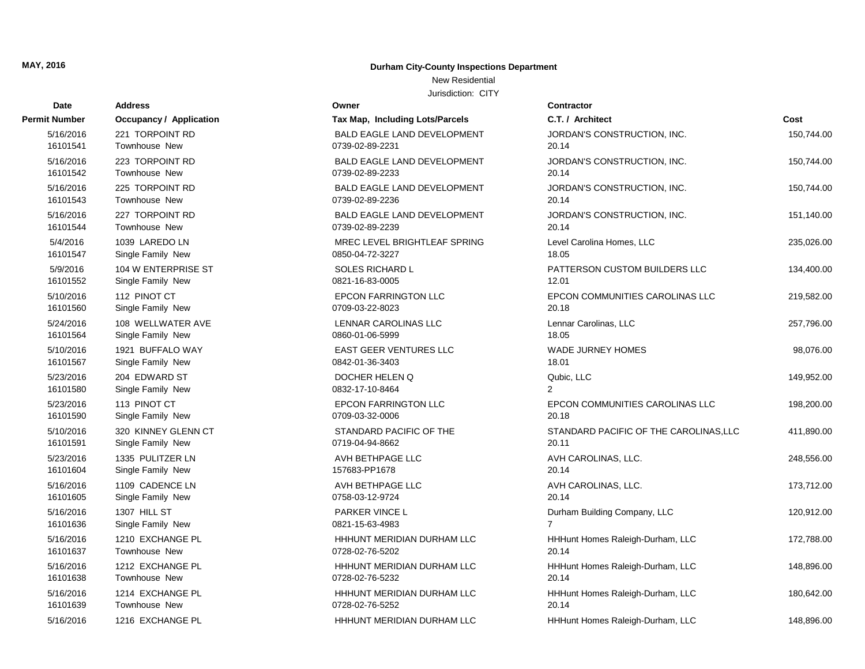### New Residential

| Date                 | <b>Address</b>                 | Owner                              | Contractor          |
|----------------------|--------------------------------|------------------------------------|---------------------|
| <b>Permit Number</b> | <b>Occupancy / Application</b> | Tax Map, Including Lots/Parcels    | C.T. / Architect    |
| 5/16/2016            | 221 TORPOINT RD                | <b>BALD EAGLE LAND DEVELOPMENT</b> | <b>JORDAN'S CON</b> |
| 16101541             | Townhouse New                  | 0739-02-89-2231                    | 20.14               |
| 5/16/2016            | 223 TORPOINT RD                | <b>BALD EAGLE LAND DEVELOPMENT</b> | <b>JORDAN'S CON</b> |
| 16101542             | Townhouse New                  | 0739-02-89-2233                    | 20.14               |
| 5/16/2016            | 225 TORPOINT RD                | <b>BALD EAGLE LAND DEVELOPMENT</b> | <b>JORDAN'S CON</b> |
| 16101543             | Townhouse New                  | 0739-02-89-2236                    | 20.14               |
| 5/16/2016            | 227 TORPOINT RD                | <b>BALD EAGLE LAND DEVELOPMENT</b> | <b>JORDAN'S CON</b> |
| 16101544             | Townhouse New                  | 0739-02-89-2239                    | 20.14               |
| 5/4/2016             | 1039 LAREDO LN                 | MREC LEVEL BRIGHTLEAF SPRING       | Level Carolina H    |
| 16101547             | Single Family New              | 0850-04-72-3227                    | 18.05               |
| 5/9/2016             | 104 W ENTERPRISE ST            | <b>SOLES RICHARD L</b>             | <b>PATTERSON C</b>  |
| 16101552             | Single Family New              | 0821-16-83-0005                    | 12.01               |
| 5/10/2016            | 112 PINOT CT                   | <b>EPCON FARRINGTON LLC</b>        | <b>EPCON COMMI</b>  |
| 16101560             | Single Family New              | 0709-03-22-8023                    | 20.18               |
| 5/24/2016            | 108 WELLWATER AVE              | LENNAR CAROLINAS LLC               | Lennar Carolinas    |
| 16101564             | Single Family New              | 0860-01-06-5999                    | 18.05               |
| 5/10/2016            | 1921 BUFFALO WAY               | <b>EAST GEER VENTURES LLC</b>      | <b>WADE JURNEY</b>  |
| 16101567             | Single Family New              | 0842-01-36-3403                    | 18.01               |
| 5/23/2016            | 204 EDWARD ST                  | DOCHER HELEN Q                     | Qubic, LLC          |
| 16101580             | Single Family New              | 0832-17-10-8464                    | $\overline{2}$      |
| 5/23/2016            | 113 PINOT CT                   | <b>EPCON FARRINGTON LLC</b>        | <b>EPCON COMMI</b>  |
| 16101590             | Single Family New              | 0709-03-32-0006                    | 20.18               |
| 5/10/2016            | 320 KINNEY GLENN CT            | STANDARD PACIFIC OF THE            | <b>STANDARD PA</b>  |
| 16101591             | Single Family New              | 0719-04-94-8662                    | 20.11               |
| 5/23/2016            | 1335 PULITZER LN               | AVH BETHPAGE LLC                   | <b>AVH CAROLINA</b> |
| 16101604             | Single Family New              | 157683-PP1678                      | 20.14               |
| 5/16/2016            | 1109 CADENCE LN                | AVH BETHPAGE LLC                   | <b>AVH CAROLINA</b> |
| 16101605             | Single Family New              | 0758-03-12-9724                    | 20.14               |
| 5/16/2016            | 1307 HILL ST                   | <b>PARKER VINCE L</b>              | Durham Building     |
| 16101636             | Single Family New              | 0821-15-63-4983                    | $\overline{7}$      |
| 5/16/2016            | 1210 EXCHANGE PL               | HHHUNT MERIDIAN DURHAM LLC         | <b>HHHunt Homes</b> |
| 16101637             | Townhouse New                  | 0728-02-76-5202                    | 20.14               |
| 5/16/2016            | 1212 EXCHANGE PL               | HHHUNT MERIDIAN DURHAM LLC         | <b>HHHunt Homes</b> |
| 16101638             | Townhouse New                  | 0728-02-76-5232                    | 20.14               |
| 5/16/2016            | 1214 EXCHANGE PL               | HHHUNT MERIDIAN DURHAM LLC         | <b>HHHunt Homes</b> |
| 16101639             | Townhouse New                  | 0728-02-76-5252                    | 20.14               |
| 5/16/2016            | 1216 EXCHANGE PL               | HHHUNT MERIDIAN DURHAM LLC         | <b>HHHunt Homes</b> |

| Date            | <b>Address</b>          | Owner                              | Contractor         |
|-----------------|-------------------------|------------------------------------|--------------------|
| Number          | Occupancy / Application | Tax Map, Including Lots/Parcels    | C.T. / Arch        |
| /16/2016        | 221 TORPOINT RD         | <b>BALD EAGLE LAND DEVELOPMENT</b> | <b>JORDAN'S</b>    |
| 6101541         | <b>Townhouse New</b>    | 0739-02-89-2231                    | 20.14              |
| /16/2016        | 223 TORPOINT RD         | <b>BALD EAGLE LAND DEVELOPMENT</b> | <b>JORDAN'S</b>    |
| 6101542         | <b>Townhouse New</b>    | 0739-02-89-2233                    | 20.14              |
| /16/2016        | 225 TORPOINT RD         | <b>BALD EAGLE LAND DEVELOPMENT</b> | <b>JORDAN'S</b>    |
| 6101543         | <b>Townhouse New</b>    | 0739-02-89-2236                    | 20.14              |
| 16/2016         | 227 TORPOINT RD         | BALD EAGLE LAND DEVELOPMENT        | <b>JORDAN'S</b>    |
| 6101544         | Townhouse New           | 0739-02-89-2239                    | 20.14              |
| <i>4/2</i> 016\ | 1039 LAREDO LN          | MREC LEVEL BRIGHTLEAF SPRING       | <b>Level Carol</b> |
| 6101547         | Single Family New       | 0850-04-72-3227                    | 18.05              |
| /9/2016         | 104 W ENTERPRISE ST     | <b>SOLES RICHARD L</b>             | <b>PATTERSO</b>    |
| 6101552         | Single Family New       | 0821-16-83-0005                    | 12.01              |
| /10/2016        | 112 PINOT CT            | <b>EPCON FARRINGTON LLC</b>        | <b>EPCON CO</b>    |
| 6101560         | Single Family New       | 0709-03-22-8023                    | 20.18              |
| 24/2016         | 108 WELLWATER AVE       | <b>LENNAR CAROLINAS LLC</b>        | Lennar Car         |
| 6101564         | Single Family New       | 0860-01-06-5999                    | 18.05              |
| /10/2016        | 1921 BUFFALO WAY        | <b>EAST GEER VENTURES LLC</b>      | <b>WADE JUF</b>    |
| 6101567         | Single Family New       | 0842-01-36-3403                    | 18.01              |
| /23/2016        | 204 EDWARD ST           | DOCHER HELEN Q                     | Qubic, LLC         |
| 6101580         | Single Family New       | 0832-17-10-8464                    | $\overline{2}$     |
| /23/2016        | 113 PINOT CT            | <b>EPCON FARRINGTON LLC</b>        | <b>EPCON CO</b>    |
| 6101590         | Single Family New       | 0709-03-32-0006                    | 20.18              |
| /10/2016        | 320 KINNEY GLENN CT     | STANDARD PACIFIC OF THE            | <b>STANDARI</b>    |
| 6101591         | Single Family New       | 0719-04-94-8662                    | 20.11              |
| /23/2016        | 1335 PULITZER LN        | AVH BETHPAGE LLC                   | <b>AVH CARC</b>    |
| 6101604         | Single Family New       | 157683-PP1678                      | 20.14              |
| /16/2016        | 1109 CADENCE LN         | AVH BETHPAGE LLC                   | <b>AVH CARC</b>    |
| 6101605         | Single Family New       | 0758-03-12-9724                    | 20.14              |
| /16/2016        | 1307 HILL ST            | PARKER VINCE L                     | Durham Bu          |
| 6101636         | Single Family New       | 0821-15-63-4983                    | 7                  |
| /16/2016        | 1210 EXCHANGE PL        | HHHUNT MERIDIAN DURHAM LLC         | <b>HHHunt Ho</b>   |
| 6101637         | Townhouse New           | 0728-02-76-5202                    | 20.14              |
| /16/2016        | 1212 EXCHANGE PL        | HHHUNT MERIDIAN DURHAM LLC         | <b>HHHunt Ho</b>   |
| 6101638         | Townhouse New           | 0728-02-76-5232                    | 20.14              |
| /16/2016        | 1214 EXCHANGE PL        | HHHUNT MERIDIAN DURHAM LLC         | <b>HHHunt Ho</b>   |
| 6101639         | Townhouse New           | 0728-02-76-5252                    | 20.14              |
| 16/2016         | 1216 EXCHANGE PL        | HHHUNT MERIDIAN DURHAM LLC         | <b>HHHunt Ho</b>   |

| t Number  | Occupancy / Application | Tax Map, Including Lots/Parcels    | C.T. / Architect                       | Cost       |
|-----------|-------------------------|------------------------------------|----------------------------------------|------------|
| 5/16/2016 | 221 TORPOINT RD         | <b>BALD EAGLE LAND DEVELOPMENT</b> | JORDAN'S CONSTRUCTION, INC.            | 150,744.00 |
| 16101541  | Townhouse New           | 0739-02-89-2231                    | 20.14                                  |            |
| 5/16/2016 | 223 TORPOINT RD         | <b>BALD EAGLE LAND DEVELOPMENT</b> | JORDAN'S CONSTRUCTION, INC.            | 150,744.00 |
| 16101542  | Townhouse New           | 0739-02-89-2233                    | 20.14                                  |            |
| 5/16/2016 | 225 TORPOINT RD         | <b>BALD EAGLE LAND DEVELOPMENT</b> | JORDAN'S CONSTRUCTION, INC.            | 150,744.00 |
| 16101543  | Townhouse New           | 0739-02-89-2236                    | 20.14                                  |            |
| 5/16/2016 | 227 TORPOINT RD         | <b>BALD EAGLE LAND DEVELOPMENT</b> | JORDAN'S CONSTRUCTION, INC.            | 151,140.00 |
| 16101544  | Townhouse New           | 0739-02-89-2239                    | 20.14                                  |            |
| 5/4/2016  | 1039 LAREDO LN          | MREC LEVEL BRIGHTLEAF SPRING       | Level Carolina Homes, LLC              | 235,026.00 |
| 16101547  | Single Family New       | 0850-04-72-3227                    | 18.05                                  |            |
| 5/9/2016  | 104 W ENTERPRISE ST     | SOLES RICHARD L                    | PATTERSON CUSTOM BUILDERS LLC          | 134,400.00 |
| 16101552  | Single Family New       | 0821-16-83-0005                    | 12.01                                  |            |
| 5/10/2016 | 112 PINOT CT            | <b>EPCON FARRINGTON LLC</b>        | EPCON COMMUNITIES CAROLINAS LLC        | 219,582.00 |
| 16101560  | Single Family New       | 0709-03-22-8023                    | 20.18                                  |            |
| 5/24/2016 | 108 WELLWATER AVE       | LENNAR CAROLINAS LLC               | Lennar Carolinas, LLC                  | 257,796.00 |
| 16101564  | Single Family New       | 0860-01-06-5999                    | 18.05                                  |            |
| 5/10/2016 | 1921 BUFFALO WAY        | EAST GEER VENTURES LLC             | <b>WADE JURNEY HOMES</b>               | 98,076.00  |
| 16101567  | Single Family New       | 0842-01-36-3403                    | 18.01                                  |            |
| 5/23/2016 | 204 EDWARD ST           | DOCHER HELEN Q                     | Qubic, LLC                             | 149,952.00 |
| 16101580  | Single Family New       | 0832-17-10-8464                    | 2                                      |            |
| 5/23/2016 | 113 PINOT CT            | <b>EPCON FARRINGTON LLC</b>        | EPCON COMMUNITIES CAROLINAS LLC        | 198,200.00 |
| 16101590  | Single Family New       | 0709-03-32-0006                    | 20.18                                  |            |
| 5/10/2016 | 320 KINNEY GLENN CT     | STANDARD PACIFIC OF THE            | STANDARD PACIFIC OF THE CAROLINAS, LLC | 411,890.00 |
| 16101591  | Single Family New       | 0719-04-94-8662                    | 20.11                                  |            |
| 5/23/2016 | 1335 PULITZER LN        | AVH BETHPAGE LLC                   | AVH CAROLINAS, LLC.                    | 248,556.00 |
| 16101604  | Single Family New       | 157683-PP1678                      | 20.14                                  |            |
| 5/16/2016 | 1109 CADENCE LN         | AVH BETHPAGE LLC                   | AVH CAROLINAS, LLC.                    | 173,712.00 |
| 16101605  | Single Family New       | 0758-03-12-9724                    | 20.14                                  |            |
| 5/16/2016 | 1307 HILL ST            | PARKER VINCE L                     | Durham Building Company, LLC           | 120,912.00 |
| 16101636  | Single Family New       | 0821-15-63-4983                    | $\overline{7}$                         |            |
| 5/16/2016 | 1210 EXCHANGE PL        | HHHUNT MERIDIAN DURHAM LLC         | HHHunt Homes Raleigh-Durham, LLC       | 172,788.00 |
| 16101637  | Townhouse New           | 0728-02-76-5202                    | 20.14                                  |            |
| 5/16/2016 | 1212 EXCHANGE PL        | HHHUNT MERIDIAN DURHAM LLC         | HHHunt Homes Raleigh-Durham, LLC       | 148,896.00 |
| 16101638  | Townhouse New           | 0728-02-76-5232                    | 20.14                                  |            |
| 5/16/2016 | 1214 EXCHANGE PL        | HHHUNT MERIDIAN DURHAM LLC         | HHHunt Homes Raleigh-Durham, LLC       | 180,642.00 |
| 16101639  | Townhouse New           | 0728-02-76-5252                    | 20.14                                  |            |
| 5/16/2016 | 1216 EXCHANGE PL        | HHHUNT MERIDIAN DURHAM LLC         | HHHunt Homes Raleigh-Durham, LLC       | 148,896.00 |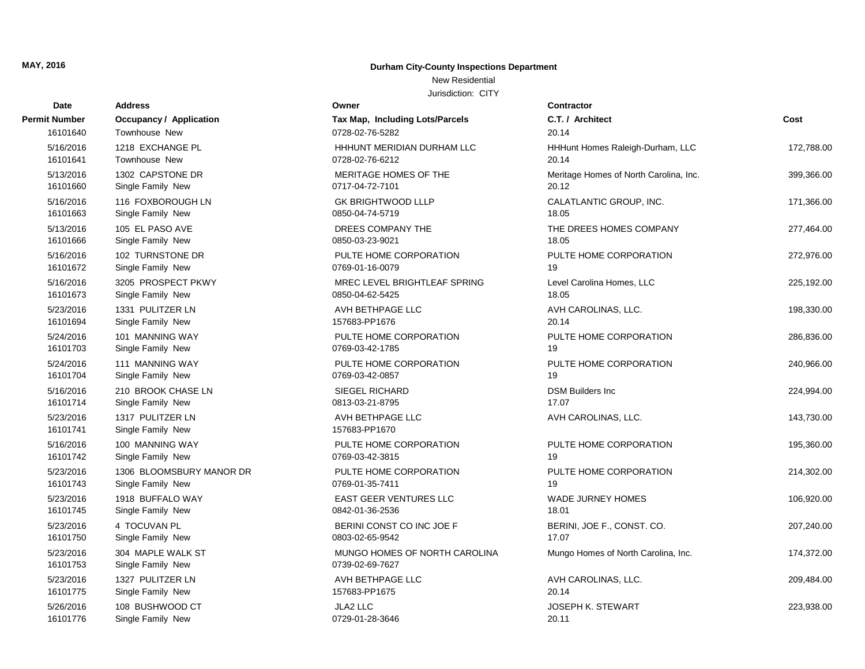### New Residential

| Date                  | <b>Address</b>                         | Owner                                            | <b>Contractor</b>                      |            |
|-----------------------|----------------------------------------|--------------------------------------------------|----------------------------------------|------------|
| Permit Number         | <b>Occupancy / Application</b>         | Tax Map, Including Lots/Parcels                  | C.T. / Architect                       | Cost       |
| 16101640              | Townhouse New                          | 0728-02-76-5282                                  | 20.14                                  |            |
| 5/16/2016             | 1218 EXCHANGE PL                       | HHHUNT MERIDIAN DURHAM LLC                       | HHHunt Homes Raleigh-Durham, LLC       | 172,788.00 |
| 16101641              | Townhouse New                          | 0728-02-76-6212                                  | 20.14                                  |            |
| 5/13/2016             | 1302 CAPSTONE DR                       | MERITAGE HOMES OF THE                            | Meritage Homes of North Carolina, Inc. | 399,366.00 |
| 16101660              | Single Family New                      | 0717-04-72-7101                                  | 20.12                                  |            |
| 5/16/2016             | 116 FOXBOROUGH LN                      | <b>GK BRIGHTWOOD LLLP</b>                        | CALATLANTIC GROUP, INC.                | 171,366.00 |
| 16101663              | Single Family New                      | 0850-04-74-5719                                  | 18.05                                  |            |
| 5/13/2016             | 105 EL PASO AVE                        | DREES COMPANY THE                                | THE DREES HOMES COMPANY                | 277,464.00 |
| 16101666              | Single Family New                      | 0850-03-23-9021                                  | 18.05                                  |            |
| 5/16/2016             | 102 TURNSTONE DR                       | PULTE HOME CORPORATION                           | PULTE HOME CORPORATION                 | 272,976.00 |
| 16101672              | Single Family New                      | 0769-01-16-0079                                  | 19                                     |            |
| 5/16/2016             | 3205 PROSPECT PKWY                     | MREC LEVEL BRIGHTLEAF SPRING                     | Level Carolina Homes, LLC              | 225,192.00 |
| 16101673              | Single Family New                      | 0850-04-62-5425                                  | 18.05                                  |            |
| 5/23/2016             | 1331 PULITZER LN                       | AVH BETHPAGE LLC                                 | AVH CAROLINAS, LLC.                    | 198,330.00 |
| 16101694              | Single Family New                      | 157683-PP1676                                    | 20.14                                  |            |
| 5/24/2016             | 101 MANNING WAY                        | PULTE HOME CORPORATION                           | PULTE HOME CORPORATION                 | 286,836.00 |
| 16101703              | Single Family New                      | 0769-03-42-1785                                  | 19                                     |            |
| 5/24/2016             | 111 MANNING WAY                        | PULTE HOME CORPORATION                           | PULTE HOME CORPORATION                 | 240,966.00 |
| 16101704              | Single Family New                      | 0769-03-42-0857                                  | 19                                     |            |
| 5/16/2016             | 210 BROOK CHASE LN                     | SIEGEL RICHARD                                   | <b>DSM Builders Inc</b>                | 224,994.00 |
| 16101714              | Single Family New                      | 0813-03-21-8795                                  | 17.07                                  |            |
| 5/23/2016<br>16101741 | 1317 PULITZER LN<br>Single Family New  | AVH BETHPAGE LLC<br>157683-PP1670                | AVH CAROLINAS, LLC.                    | 143,730.00 |
| 5/16/2016             | 100 MANNING WAY                        | PULTE HOME CORPORATION                           | PULTE HOME CORPORATION                 | 195,360.00 |
| 16101742              | Single Family New                      | 0769-03-42-3815                                  | 19                                     |            |
| 5/23/2016             | 1306 BLOOMSBURY MANOR DR               | PULTE HOME CORPORATION                           | PULTE HOME CORPORATION                 | 214,302.00 |
| 16101743              | Single Family New                      | 0769-01-35-7411                                  | 19                                     |            |
| 5/23/2016             | 1918 BUFFALO WAY                       | EAST GEER VENTURES LLC                           | WADE JURNEY HOMES                      | 106,920.00 |
| 16101745              | Single Family New                      | 0842-01-36-2536                                  | 18.01                                  |            |
| 5/23/2016             | 4 TOCUVAN PL                           | BERINI CONST CO INC JOE F                        | BERINI, JOE F., CONST. CO.             | 207,240.00 |
| 16101750              | Single Family New                      | 0803-02-65-9542                                  | 17.07                                  |            |
| 5/23/2016<br>16101753 | 304 MAPLE WALK ST<br>Single Family New | MUNGO HOMES OF NORTH CAROLINA<br>0739-02-69-7627 | Mungo Homes of North Carolina, Inc.    | 174,372.00 |
| 5/23/2016             | 1327 PULITZER LN                       | AVH BETHPAGE LLC                                 | AVH CAROLINAS, LLC.                    | 209,484.00 |
| 16101775              | Single Family New                      | 157683-PP1675                                    | 20.14                                  |            |
| 5/26/2016             | 108 BUSHWOOD CT                        | <b>JLA2 LLC</b>                                  | JOSEPH K. STEWART                      | 223,938.00 |
| 16101776              | Single Family New                      | 0729-01-28-3646                                  | 20.11                                  |            |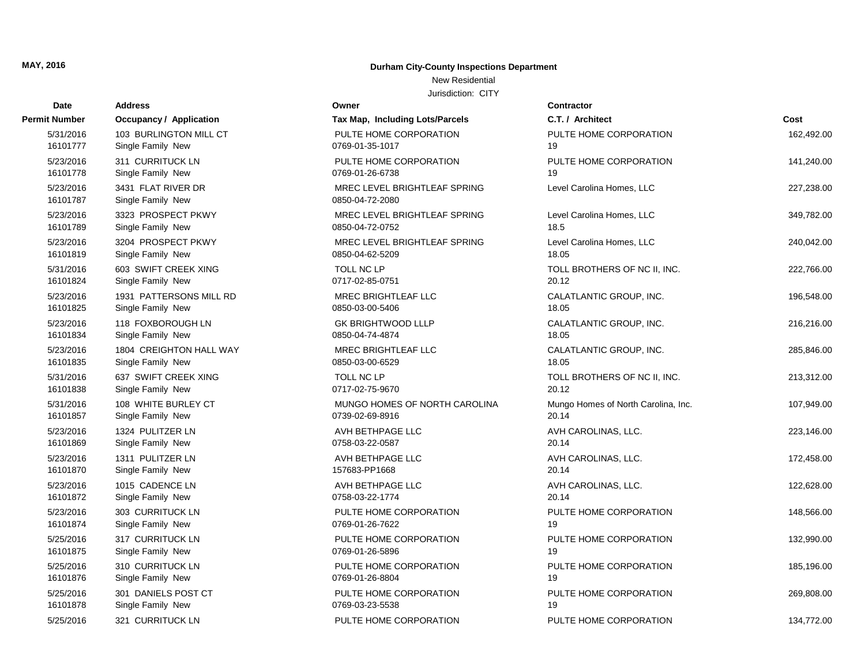#### New Residential

| Date                  | <b>Address</b>                          | Owner                                           | <b>Contractor</b>                   |            |
|-----------------------|-----------------------------------------|-------------------------------------------------|-------------------------------------|------------|
| Permit Number         | <b>Occupancy / Application</b>          | Tax Map, Including Lots/Parcels                 | C.T. / Architect                    | Cost       |
| 5/31/2016             | 103 BURLINGTON MILL CT                  | PULTE HOME CORPORATION                          | PULTE HOME CORPORATION              | 162,492.00 |
| 16101777              | Single Family New                       | 0769-01-35-1017                                 | 19                                  |            |
| 5/23/2016             | 311 CURRITUCK LN                        | PULTE HOME CORPORATION                          | PULTE HOME CORPORATION              | 141,240.00 |
| 16101778              | Single Family New                       | 0769-01-26-6738                                 | 19                                  |            |
| 5/23/2016<br>16101787 | 3431 FLAT RIVER DR<br>Single Family New | MREC LEVEL BRIGHTLEAF SPRING<br>0850-04-72-2080 | Level Carolina Homes, LLC           | 227,238.00 |
| 5/23/2016             | 3323 PROSPECT PKWY                      | MREC LEVEL BRIGHTLEAF SPRING                    | Level Carolina Homes, LLC           | 349,782.00 |
| 16101789              | Single Family New                       | 0850-04-72-0752                                 | 18.5                                |            |
| 5/23/2016             | 3204 PROSPECT PKWY                      | MREC LEVEL BRIGHTLEAF SPRING                    | Level Carolina Homes, LLC           | 240,042.00 |
| 16101819              | Single Family New                       | 0850-04-62-5209                                 | 18.05                               |            |
| 5/31/2016             | 603 SWIFT CREEK XING                    | TOLL NC LP                                      | TOLL BROTHERS OF NC II, INC.        | 222,766.00 |
| 16101824              | Single Family New                       | 0717-02-85-0751                                 | 20.12                               |            |
| 5/23/2016             | 1931 PATTERSONS MILL RD                 | <b>MREC BRIGHTLEAF LLC</b>                      | CALATLANTIC GROUP, INC.             | 196,548.00 |
| 16101825              | Single Family New                       | 0850-03-00-5406                                 | 18.05                               |            |
| 5/23/2016             | 118 FOXBOROUGH LN                       | <b>GK BRIGHTWOOD LLLP</b>                       | CALATLANTIC GROUP, INC.             | 216,216.00 |
| 16101834              | Single Family New                       | 0850-04-74-4874                                 | 18.05                               |            |
| 5/23/2016             | 1804 CREIGHTON HALL WAY                 | <b>MREC BRIGHTLEAF LLC</b>                      | CALATLANTIC GROUP, INC.             | 285,846.00 |
| 16101835              | Single Family New                       | 0850-03-00-6529                                 | 18.05                               |            |
| 5/31/2016             | 637 SWIFT CREEK XING                    | TOLL NC LP                                      | TOLL BROTHERS OF NC II, INC.        | 213,312.00 |
| 16101838              | Single Family New                       | 0717-02-75-9670                                 | 20.12                               |            |
| 5/31/2016             | 108 WHITE BURLEY CT                     | MUNGO HOMES OF NORTH CAROLINA                   | Mungo Homes of North Carolina, Inc. | 107,949.00 |
| 16101857              | Single Family New                       | 0739-02-69-8916                                 | 20.14                               |            |
| 5/23/2016             | 1324 PULITZER LN                        | AVH BETHPAGE LLC                                | AVH CAROLINAS, LLC.                 | 223,146.00 |
| 16101869              | Single Family New                       | 0758-03-22-0587                                 | 20.14                               |            |
| 5/23/2016             | 1311 PULITZER LN                        | AVH BETHPAGE LLC                                | AVH CAROLINAS, LLC.                 | 172,458.00 |
| 16101870              | Single Family New                       | 157683-PP1668                                   | 20.14                               |            |
| 5/23/2016             | 1015 CADENCE LN                         | AVH BETHPAGE LLC                                | AVH CAROLINAS, LLC.                 | 122,628.00 |
| 16101872              | Single Family New                       | 0758-03-22-1774                                 | 20.14                               |            |
| 5/23/2016             | 303 CURRITUCK LN                        | PULTE HOME CORPORATION                          | PULTE HOME CORPORATION              | 148,566.00 |
| 16101874              | Single Family New                       | 0769-01-26-7622                                 | 19                                  |            |
| 5/25/2016             | 317 CURRITUCK LN                        | PULTE HOME CORPORATION                          | PULTE HOME CORPORATION              | 132,990.00 |
| 16101875              | Single Family New                       | 0769-01-26-5896                                 | 19                                  |            |
| 5/25/2016             | 310 CURRITUCK LN                        | PULTE HOME CORPORATION                          | PULTE HOME CORPORATION              | 185,196.00 |
| 16101876              | Single Family New                       | 0769-01-26-8804                                 | 19                                  |            |
| 5/25/2016             | 301 DANIELS POST CT                     | PULTE HOME CORPORATION                          | PULTE HOME CORPORATION              | 269,808.00 |
| 16101878              | Single Family New                       | 0769-03-23-5538                                 | 19                                  |            |
| 5/25/2016             | 321 CURRITUCK LN                        | PULTE HOME CORPORATION                          | PULTE HOME CORPORATION              | 134,772.00 |